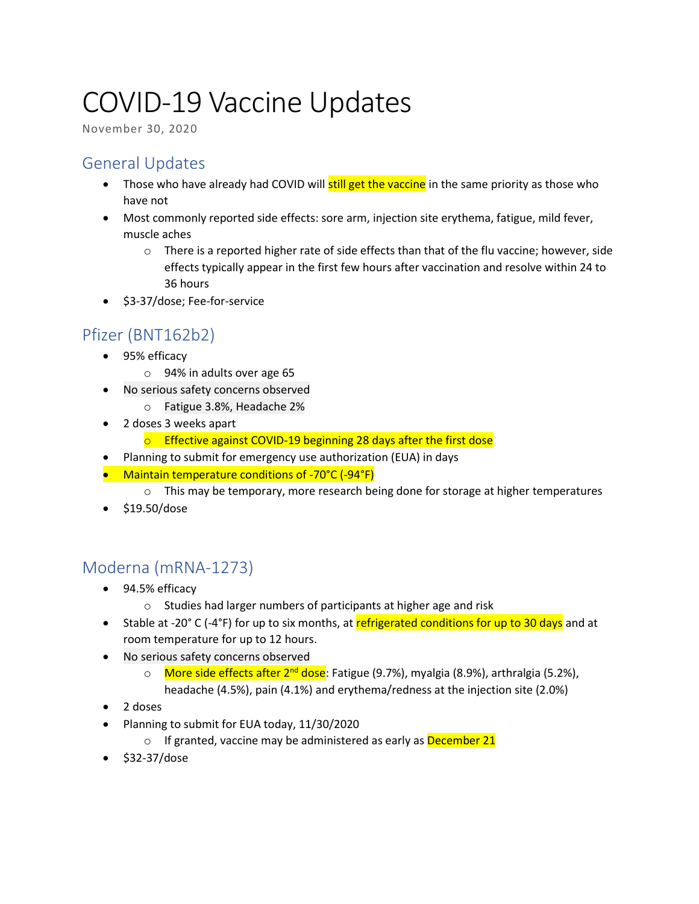# COVID-19 Vaccine Updates

November 30, 2020

### General Updates

- Those who have already had COVID will **still get the vaccine** in the same priority as those who have not
- Most commonly reported side effects: sore arm, injection site erythema, fatigue, mild fever, muscle aches
	- o There is a reported higher rate of side effects than that of the flu vaccine; however, side effects typically appear in the first few hours after vaccination and resolve within 24 to 36 hours
- \$3-37/dose; Fee-for-service

## Pfizer (BNT162b2)

- 95% efficacy
	- o 94% in adults over age 65
- No serious safety concerns observed
	- o Fatigue 3.8%, Headache 2%
- 2 doses 3 weeks apart
	- o Effective against COVID-19 beginning 28 days after the first dose
- Planning to submit for emergency use authorization (EUA) in days
- Maintain temperature conditions of -70°C (-94°F)
	- $\circ$  This may be temporary, more research being done for storage at higher temperatures
- \$19.50/dose

### Moderna (mRNA-1273)

- 94.5% efficacy
	- o Studies had larger numbers of participants at higher age and risk
- Stable at -20 $^{\circ}$  C (-4 $^{\circ}$ F) for up to six months, at refrigerated conditions for up to 30 days and at room temperature for up to 12 hours.
- No serious safety concerns observed
	- o More side effects after 2<sup>nd</sup> dose</u>: Fatigue (9.7%), myalgia (8.9%), arthralgia (5.2%), headache (4.5%), pain (4.1%) and erythema/redness at the injection site (2.0%)
- 2 doses
- Planning to submit for EUA today, 11/30/2020
	- o If granted, vaccine may be administered as early as December 21
- \$32-37/dose